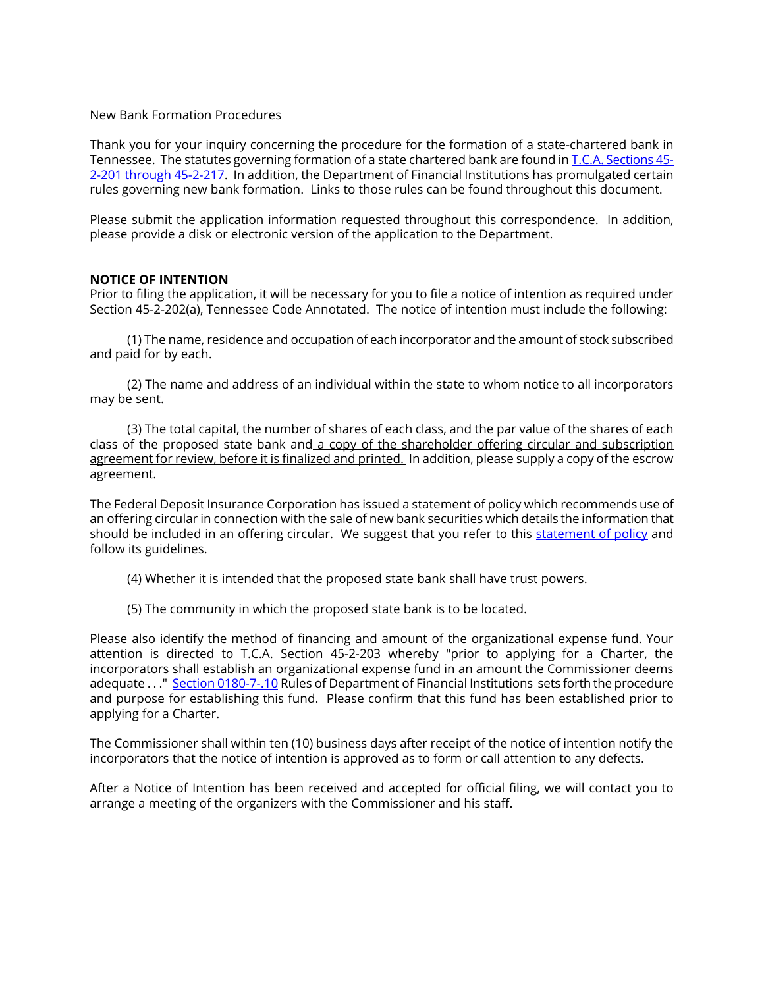#### New Bank Formation Procedures

Thank you for your inquiry concerning the procedure for the formation of a state-chartered bank in Tennessee. The statutes governing formation of a state chartered bank are found i[n T.C.A. Sections 45-](http://www.lexisnexis.com/hottopics/tncode/) [2-201 through 45-2-217.](http://www.lexisnexis.com/hottopics/tncode/) In addition, the Department of Financial Institutions has promulgated certain rules governing new bank formation. Links to those rules can be found throughout this document.

Please submit the application information requested throughout this correspondence. In addition, please provide a disk or electronic version of the application to the Department.

#### **NOTICE OF INTENTION**

Prior to filing the application, it will be necessary for you to file a notice of intention as required under Section 45-2-202(a), Tennessee Code Annotated. The notice of intention must include the following:

(1) The name, residence and occupation of each incorporator and the amount of stock subscribed and paid for by each.

(2) The name and address of an individual within the state to whom notice to all incorporators may be sent.

(3) The total capital, the number of shares of each class, and the par value of the shares of each class of the proposed state bank and a copy of the shareholder offering circular and subscription agreement for review, before it is finalized and printed. In addition, please supply a copy of the escrow agreement.

The Federal Deposit Insurance Corporation has issued a statement of policy which recommends use of an offering circular in connection with the sale of new bank securities which details the information that should be included in an offering circular. We suggest that you refer to this [statement of policy](https://www.fdic.gov/regulations/laws/rules/5000-500.html) and follow its guidelines.

- (4) Whether it is intended that the proposed state bank shall have trust powers.
- (5) The community in which the proposed state bank is to be located.

Please also identify the method of financing and amount of the organizational expense fund. Your attention is directed to T.C.A. Section 45-2-203 whereby "prior to applying for a Charter, the incorporators shall establish an organizational expense fund in an amount the Commissioner deems adequate . . . " [Section 0180-7-.10](http://share.tn.gov/sos/rules/0180/0180-07.pdf) Rules of Department of Financial Institutions sets forth the procedure and purpose for establishing this fund. Please confirm that this fund has been established prior to applying for a Charter.

The Commissioner shall within ten (10) business days after receipt of the notice of intention notify the incorporators that the notice of intention is approved as to form or call attention to any defects.

After a Notice of Intention has been received and accepted for official filing, we will contact you to arrange a meeting of the organizers with the Commissioner and his staff.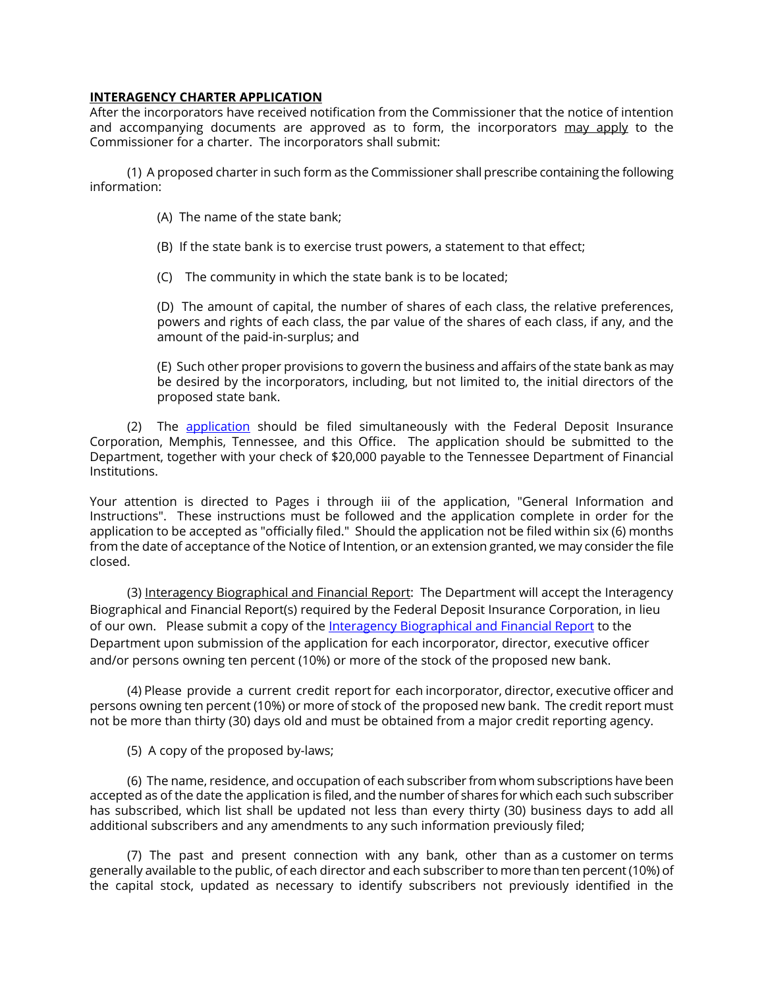### **INTERAGENCY CHARTER APPLICATION**

After the incorporators have received notification from the Commissioner that the notice of intention and accompanying documents are approved as to form, the incorporators may apply to the Commissioner for a charter. The incorporators shall submit:

(1) A proposed charter in such form as the Commissioner shall prescribe containing the following information:

- (A) The name of the state bank;
- (B) If the state bank is to exercise trust powers, a statement to that effect;
- (C) The community in which the state bank is to be located;

(D) The amount of capital, the number of shares of each class, the relative preferences, powers and rights of each class, the par value of the shares of each class, if any, and the amount of the paid-in-surplus; and

(E) Such other proper provisions to govern the business and affairs of the state bank as may be desired by the incorporators, including, but not limited to, the initial directors of the proposed state bank.

(2) The [application](https://www.fdic.gov/formsdocuments/InteragencyCharter-InsuranceApplication.pdf) should be filed simultaneously with the Federal Deposit Insurance Corporation, Memphis, Tennessee, and this Office. The application should be submitted to the Department, together with your check of \$20,000 payable to the Tennessee Department of Financial Institutions.

Your attention is directed to Pages i through iii of the application, "General Information and Instructions". These instructions must be followed and the application complete in order for the application to be accepted as "officially filed." Should the application not be filed within six (6) months from the date of acceptance of the Notice of Intention, or an extension granted, we may consider the file closed.

(3) Interagency Biographical and Financial Report: The Department will accept the Interagency Biographical and Financial Report(s) required by the Federal Deposit Insurance Corporation, in lieu of our own. Please submit a copy of the [Interagency Biographical and Financial Report](https://www.fdic.gov/formsdocuments/Bio-FinReport.pdf) to the Department upon submission of the application for each incorporator, director, executive officer and/or persons owning ten percent (10%) or more of the stock of the proposed new bank.

(4) Please provide a current credit report for each incorporator, director, executive officer and persons owning ten percent (10%) or more of stock of the proposed new bank. The credit report must not be more than thirty (30) days old and must be obtained from a major credit reporting agency.

(5) A copy of the proposed by-laws;

(6) The name, residence, and occupation of each subscriber from whom subscriptions have been accepted as of the date the application is filed, and the number of shares for which each such subscriber has subscribed, which list shall be updated not less than every thirty (30) business days to add all additional subscribers and any amendments to any such information previously filed;

(7) The past and present connection with any bank, other than as a customer on terms generally available to the public, of each director and each subscriber to more than ten percent (10%) of the capital stock, updated as necessary to identify subscribers not previously identified in the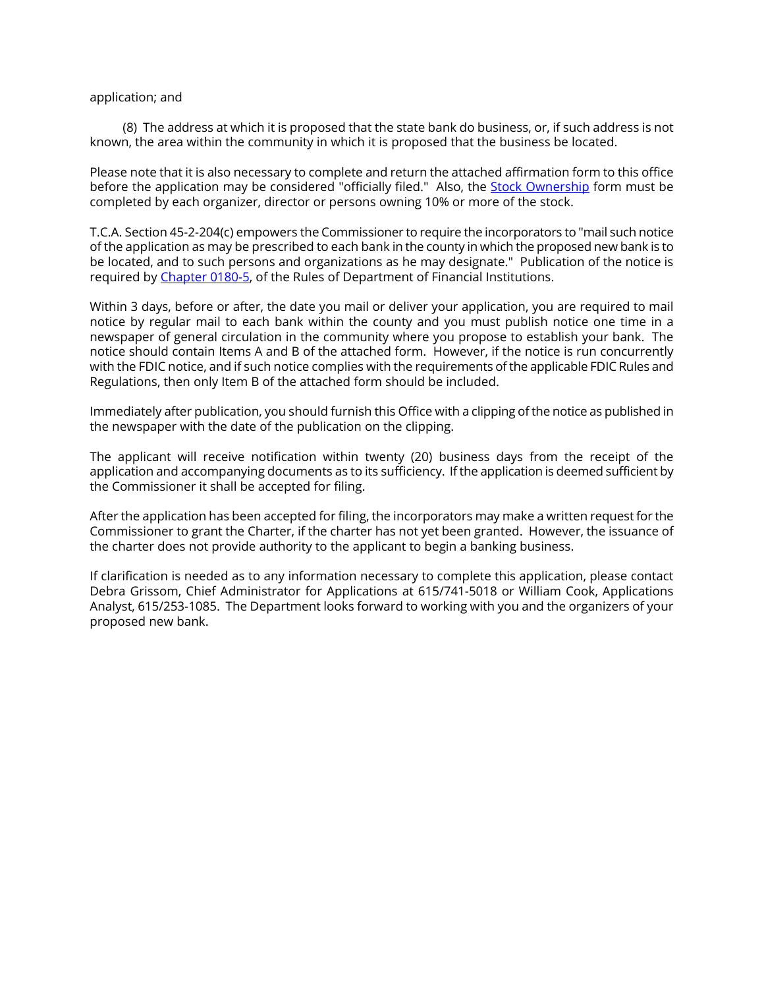#### application; and

 (8) The address at which it is proposed that the state bank do business, or, if such address is not known, the area within the community in which it is proposed that the business be located.

Please note that it is also necessary to complete and return the attached affirmation form to this office before the application may be considered "officially filed." Also, the **Stock Ownership** form must be completed by each organizer, director or persons owning 10% or more of the stock.

T.C.A. Section 45-2-204(c) empowers the Commissioner to require the incorporators to "mail such notice of the application as may be prescribed to each bank in the county in which the proposed new bank is to be located, and to such persons and organizations as he may designate." Publication of the notice is required b[y Chapter 0180-5,](http://share.tn.gov/sos/rules/0180/0180-05.pdf) of the Rules of Department of Financial Institutions.

Within 3 days, before or after, the date you mail or deliver your application, you are required to mail notice by regular mail to each bank within the county and you must publish notice one time in a newspaper of general circulation in the community where you propose to establish your bank. The notice should contain Items A and B of the attached form. However, if the notice is run concurrently with the FDIC notice, and if such notice complies with the requirements of the applicable FDIC Rules and Regulations, then only Item B of the attached form should be included.

Immediately after publication, you should furnish this Office with a clipping of the notice as published in the newspaper with the date of the publication on the clipping.

The applicant will receive notification within twenty (20) business days from the receipt of the application and accompanying documents as to its sufficiency. If the application is deemed sufficient by the Commissioner it shall be accepted for filing.

After the application has been accepted for filing, the incorporators may make a written request for the Commissioner to grant the Charter, if the charter has not yet been granted. However, the issuance of the charter does not provide authority to the applicant to begin a banking business.

If clarification is needed as to any information necessary to complete this application, please contact Debra Grissom, Chief Administrator for Applications at 615/741-5018 or William Cook, Applications Analyst, 615/253-1085. The Department looks forward to working with you and the organizers of your proposed new bank.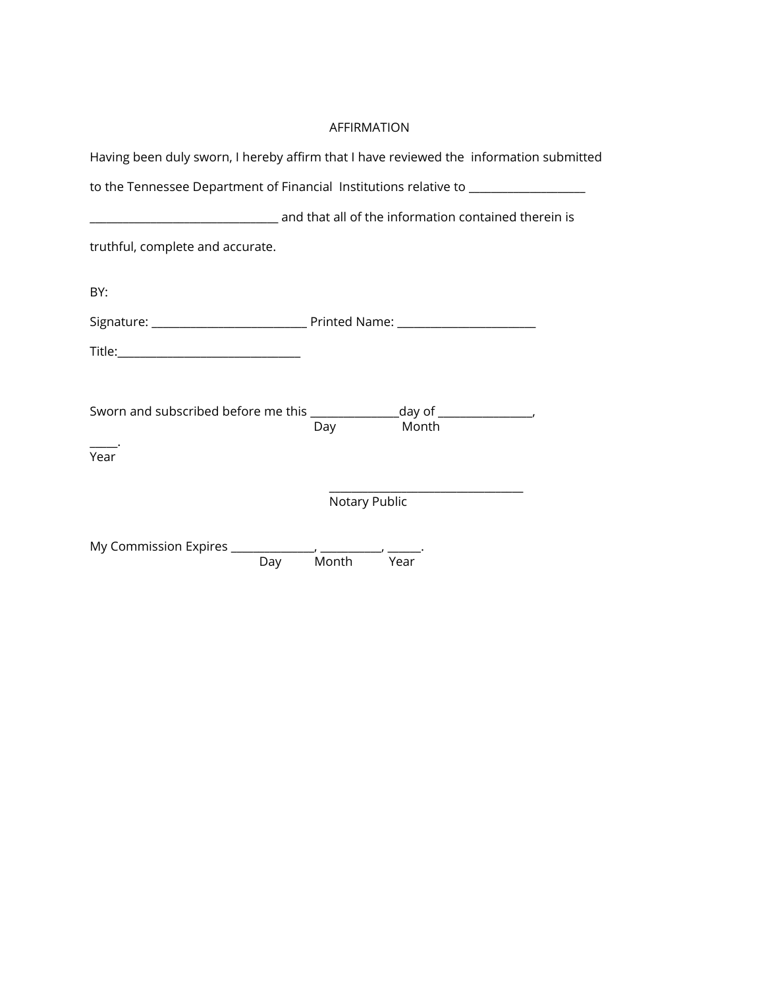# AFFIRMATION

| Having been duly sworn, I hereby affirm that I have reviewed the information submitted                    |                |  |
|-----------------------------------------------------------------------------------------------------------|----------------|--|
| to the Tennessee Department of Financial Institutions relative to _______________                         |                |  |
| and that all of the information contained therein is and that all of the information contained therein is |                |  |
| truthful, complete and accurate.                                                                          |                |  |
| BY:                                                                                                       |                |  |
|                                                                                                           |                |  |
|                                                                                                           |                |  |
|                                                                                                           |                |  |
| Sworn and subscribed before me this __________________day of _________________,                           | Month<br>Day   |  |
| Year                                                                                                      |                |  |
|                                                                                                           | Notary Public  |  |
|                                                                                                           | Day Month Year |  |